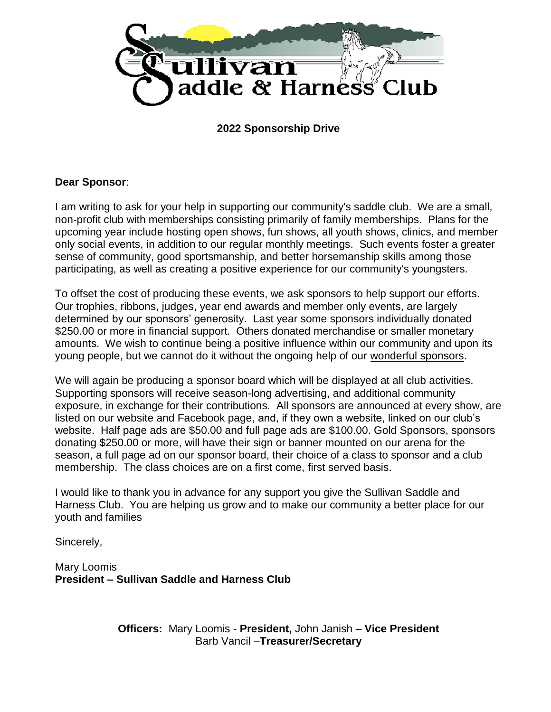

**2022 Sponsorship Drive**

## **Dear Sponsor**:

I am writing to ask for your help in supporting our community's saddle club. We are a small, non-profit club with memberships consisting primarily of family memberships. Plans for the upcoming year include hosting open shows, fun shows, all youth shows, clinics, and member only social events, in addition to our regular monthly meetings. Such events foster a greater sense of community, good sportsmanship, and better horsemanship skills among those participating, as well as creating a positive experience for our community's youngsters.

To offset the cost of producing these events, we ask sponsors to help support our efforts. Our trophies, ribbons, judges, year end awards and member only events, are largely determined by our sponsors' generosity. Last year some sponsors individually donated \$250.00 or more in financial support. Others donated merchandise or smaller monetary amounts. We wish to continue being a positive influence within our community and upon its young people, but we cannot do it without the ongoing help of our wonderful sponsors.

We will again be producing a sponsor board which will be displayed at all club activities. Supporting sponsors will receive season-long advertising, and additional community exposure, in exchange for their contributions. All sponsors are announced at every show, are listed on our website and Facebook page, and, if they own a website, linked on our club's website. Half page ads are \$50.00 and full page ads are \$100.00. Gold Sponsors, sponsors donating \$250.00 or more, will have their sign or banner mounted on our arena for the season, a full page ad on our sponsor board, their choice of a class to sponsor and a club membership. The class choices are on a first come, first served basis.

I would like to thank you in advance for any support you give the Sullivan Saddle and Harness Club. You are helping us grow and to make our community a better place for our youth and families

Sincerely,

Mary Loomis **President – Sullivan Saddle and Harness Club**

> **Officers:** Mary Loomis - **President,** John Janish – **Vice President** Barb Vancil –**Treasurer/Secretary**